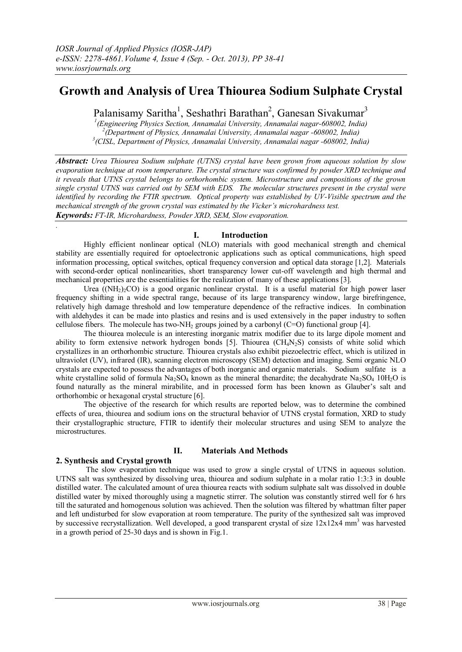# **Growth and Analysis of Urea Thiourea Sodium Sulphate Crystal**

Palanisamy Saritha<sup>1</sup>, Seshathri Barathan<sup>2</sup>, Ganesan Sivakumar<sup>3</sup>

*1 (Engineering Physics Section, Annamalai University, Annamalai nagar-608002, India) 2 (Department of Physics, Annamalai University, Annamalai nagar -608002, India) 3 (CISL, Department of Physics, Annamalai University, Annamalai nagar -608002, India)*

*Abstract: Urea Thiourea Sodium sulphate (UTNS) crystal have been grown from aqueous solution by slow evaporation technique at room temperature. The crystal structure was confirmed by powder XRD technique and it reveals that UTNS crystal belongs to orthorhombic system. Microstructure and compositions of the grown single crystal UTNS was carried out by SEM with EDS. The molecular structures present in the crystal were identified by recording the FTIR spectrum. Optical property was established by UV-Visible spectrum and the mechanical strength of the grown crystal was estimated by the Vicker's microhardness test. Keywords: FT-IR, Microhardness, Powder XRD, SEM, Slow evaporation.*

## **I. Introduction**

Highly efficient nonlinear optical (NLO) materials with good mechanical strength and chemical stability are essentially required for optoelectronic applications such as optical communications, high speed information processing, optical switches, optical frequency conversion and optical data storage [1,2]. Materials with second-order optical nonlinearities, short transparency lower cut-off wavelength and high thermal and mechanical properties are the essentialities for the realization of many of these applications [3].

Urea  $((NH<sub>2</sub>)<sub>2</sub>CO)$  is a good organic nonlinear crystal. It is a useful material for high power laser frequency shifting in a wide spectral range, because of its large transparency window, large birefringence, relatively high damage threshold and low temperature dependence of the refractive indices. In combination with aldehydes it can be made into plastics and resins and is used extensively in the paper industry to soften cellulose fibers. The molecule has two-NH<sub>2</sub> groups joined by a carbonyl  $(C=O)$  functional group [4].

The thiourea molecule is an interesting inorganic matrix modifier due to its large dipole moment and ability to form extensive network hydrogen bonds [5]. Thiourea (CH<sub>4</sub>N<sub>2</sub>S) consists of white solid which crystallizes in an orthorhombic structure. Thiourea crystals also exhibit piezoelectric effect, which is utilized in ultraviolet (UV), infrared (IR), scanning electron microscopy (SEM) detection and imaging. Semi organic NLO crystals are expected to possess the advantages of both inorganic and organic materials. Sodium sulfate is a white crystalline solid of formula  $Na_2SO_4$  known as the mineral thenardite; the decahydrate  $Na_2SO_4$  10H<sub>2</sub>O is found naturally as the mineral mirabilite, and in processed form has been known as Glauber's salt and orthorhombic or hexagonal crystal structure [6].

The objective of the research for which results are reported below, was to determine the combined effects of urea, thiourea and sodium ions on the structural behavior of UTNS crystal formation, XRD to study their crystallographic structure, FTIR to identify their molecular structures and using SEM to analyze the microstructures.

# **2. Synthesis and Crystal growth**

*.*

## **II. Materials And Methods**

The slow evaporation technique was used to grow a single crystal of UTNS in aqueous solution. UTNS salt was synthesized by dissolving urea, thiourea and sodium sulphate in a molar ratio 1:3:3 in double distilled water. The calculated amount of urea thiourea reacts with sodium sulphate salt was dissolved in double distilled water by mixed thoroughly using a magnetic stirrer. The solution was constantly stirred well for 6 hrs till the saturated and homogenous solution was achieved. Then the solution was filtered by whattman filter paper and left undisturbed for slow evaporation at room temperature. The purity of the synthesized salt was improved by successive recrystallization. Well developed, a good transparent crystal of size  $12x12x4$  mm<sup>3</sup> was harvested in a growth period of 25-30 days and is shown in Fig.1.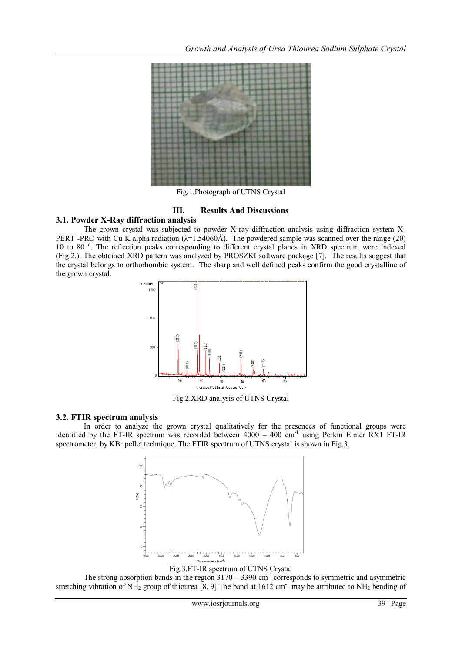

Fig.1.Photograph of UTNS Crystal

## **III. Results And Discussions**

#### **3.1. Powder X-Ray diffraction analysis**

The grown crystal was subjected to powder X-ray diffraction analysis using diffraction system X-PERT -PRO with Cu K alpha radiation ( $\lambda$ =1.54060Å). The powdered sample was scanned over the range (2θ) 10 to 80<sup>°</sup>. The reflection peaks corresponding to different crystal planes in XRD spectrum were indexed (Fig.2.). The obtained XRD pattern was analyzed by PROSZKI software package [7]. The results suggest that the crystal belongs to orthorhombic system. The sharp and well defined peaks confirm the good crystalline of the grown crystal.



Fig.2.XRD analysis of UTNS Crystal

#### **3.2. FTIR spectrum analysis**

In order to analyze the grown crystal qualitatively for the presences of functional groups were identified by the FT-IR spectrum was recorded between  $4000 - 400$  cm<sup>-1</sup> using Perkin Elmer RX1 FT-IR spectrometer, by KBr pellet technique. The FTIR spectrum of UTNS crystal is shown in Fig.3.



Fig.3.FT-IR spectrum of UTNS Crystal The strong absorption bands in the region  $3170 - 3390$  cm<sup>-1</sup> corresponds to symmetric and asymmetric stretching vibration of NH<sub>2</sub> group of thiourea [8, 9]. The band at 1612 cm<sup>-1</sup> may be attributed to NH<sub>2</sub> bending of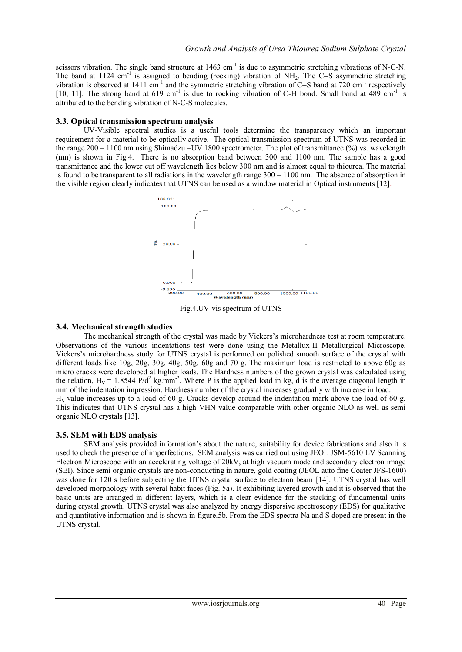scissors vibration. The single band structure at  $1463 \text{ cm}^{-1}$  is due to asymmetric stretching vibrations of N-C-N. The band at 1124 cm<sup>-1</sup> is assigned to bending (rocking) vibration of NH<sub>2</sub>. The C=S asymmetric stretching vibration is observed at 1411 cm<sup>-1</sup> and the symmetric stretching vibration of C=S band at 720 cm<sup>-1</sup> respectively [10, 11]. The strong band at 619 cm<sup>-1</sup> is due to rocking vibration of C-H bond. Small band at 489 cm<sup>-1</sup> is attributed to the bending vibration of N-C-S molecules.

### **3.3. Optical transmission spectrum analysis**

UV-Visible spectral studies is a useful tools determine the transparency which an important requirement for a material to be optically active. The optical transmission spectrum of UTNS was recorded in the range 200 – 1100 nm using Shimadzu –UV 1800 spectrometer. The plot of transmittance (%) vs. wavelength (nm) is shown in Fig.4. There is no absorption band between 300 and 1100 nm. The sample has a good transmittance and the lower cut off wavelength lies below 300 nm and is almost equal to thiourea. The material is found to be transparent to all radiations in the wavelength range  $300 - 1100$  nm. The absence of absorption in the visible region clearly indicates that UTNS can be used as a window material in Optical instruments [12].



Fig.4.UV-vis spectrum of UTNS

## **3.4. Mechanical strength studies**

The mechanical strength of the crystal was made by Vickers's microhardness test at room temperature. Observations of the various indentations test were done using the Metallux-II Metallurgical Microscope. Vickers's microhardness study for UTNS crystal is performed on polished smooth surface of the crystal with different loads like 10g, 20g, 30g, 40g, 50g, 60g and 70 g. The maximum load is restricted to above 60g as micro cracks were developed at higher loads. The Hardness numbers of the grown crystal was calculated using the relation,  $H_V = 1.8544 \text{ P/d}^2 \text{ kg/mm}^2$ . Where P is the applied load in kg, d is the average diagonal length in mm of the indentation impression. Hardness number of the crystal increases gradually with increase in load.  $H<sub>V</sub>$  value increases up to a load of 60 g. Cracks develop around the indentation mark above the load of 60 g. This indicates that UTNS crystal has a high VHN value comparable with other organic NLO as well as semi organic NLO crystals [13].

## **3.5. SEM with EDS analysis**

SEM analysis provided information's about the nature, suitability for device fabrications and also it is used to check the presence of imperfections. SEM analysis was carried out using JEOL JSM-5610 LV Scanning Electron Microscope with an accelerating voltage of 20kV, at high vacuum mode and secondary electron image (SEI). Since semi organic crystals are non-conducting in nature, gold coating (JEOL auto fine Coater JFS-1600) was done for 120 s before subjecting the UTNS crystal surface to electron beam [14]. UTNS crystal has well developed morphology with several habit faces (Fig. 5a). It exhibiting layered growth and it is observed that the basic units are arranged in different layers, which is a clear evidence for the stacking of fundamental units during crystal growth. UTNS crystal was also analyzed by energy dispersive spectroscopy (EDS) for qualitative and quantitative information and is shown in figure.5b. From the EDS spectra Na and S doped are present in the UTNS crystal.